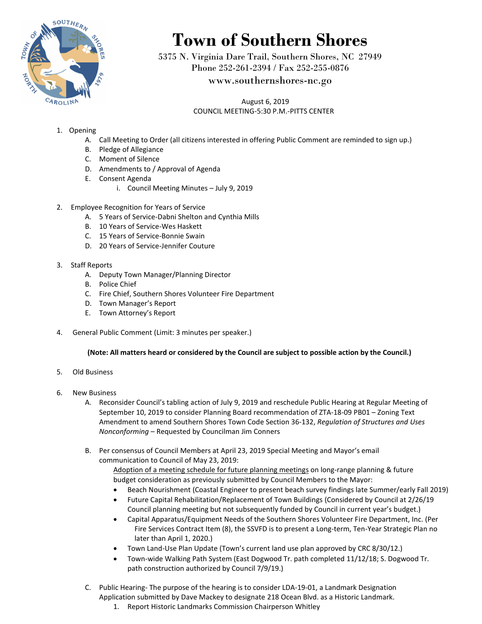

## **Town of Southern Shores**

5375 N. Virginia Dare Trail, Southern Shores, NC 27949 Phone 252-261-2394 / Fax 252-255-0876

## www.southernshores-nc.go

 August 6, 2019 COUNCIL MEETING-5:30 P.M.-PITTS CENTER

- 1. Opening
	- A. Call Meeting to Order (all citizens interested in offering Public Comment are reminded to sign up.)
	- B. Pledge of Allegiance
	- C. Moment of Silence
	- D. Amendments to / Approval of Agenda
	- E. Consent Agenda
		- i. Council Meeting Minutes July 9, 2019
- 2. Employee Recognition for Years of Service
	- A. 5 Years of Service-Dabni Shelton and Cynthia Mills
	- B. 10 Years of Service-Wes Haskett
	- C. 15 Years of Service-Bonnie Swain
	- D. 20 Years of Service-Jennifer Couture
- 3. Staff Reports
	- A. Deputy Town Manager/Planning Director
	- B. Police Chief
	- C. Fire Chief, Southern Shores Volunteer Fire Department
	- D. Town Manager's Report
	- E. Town Attorney's Report
- 4. General Public Comment (Limit: 3 minutes per speaker.)

## **(Note: All matters heard or considered by the Council are subject to possible action by the Council.)**

- 5. Old Business
- 6. New Business
	- A. Reconsider Council's tabling action of July 9, 2019 and reschedule Public Hearing at Regular Meeting of September 10, 2019 to consider Planning Board recommendation of ZTA-18-09 PB01 – Zoning Text Amendment to amend Southern Shores Town Code Section 36-132, *Regulation of Structures and Uses Nonconforming* – Requested by Councilman Jim Conners
	- B. Per consensus of Council Members at April 23, 2019 Special Meeting and Mayor's email communication to Council of May 23, 2019:

Adoption of a meeting schedule for future planning meetings on long-range planning & future budget consideration as previously submitted by Council Members to the Mayor:

- Beach Nourishment (Coastal Engineer to present beach survey findings late Summer/early Fall 2019)
- Future Capital Rehabilitation/Replacement of Town Buildings (Considered by Council at 2/26/19 Council planning meeting but not subsequently funded by Council in current year's budget.)
- Capital Apparatus/Equipment Needs of the Southern Shores Volunteer Fire Department, Inc. (Per Fire Services Contract Item (8), the SSVFD is to present a Long-term, Ten-Year Strategic Plan no later than April 1, 2020.)
- Town Land-Use Plan Update (Town's current land use plan approved by CRC 8/30/12.)
- Town-wide Walking Path System (East Dogwood Tr. path completed 11/12/18; S. Dogwood Tr. path construction authorized by Council 7/9/19.)
- C. Public Hearing- The purpose of the hearing is to consider LDA-19-01, a Landmark Designation Application submitted by Dave Mackey to designate 218 Ocean Blvd. as a Historic Landmark.
	- 1. Report Historic Landmarks Commission Chairperson Whitley